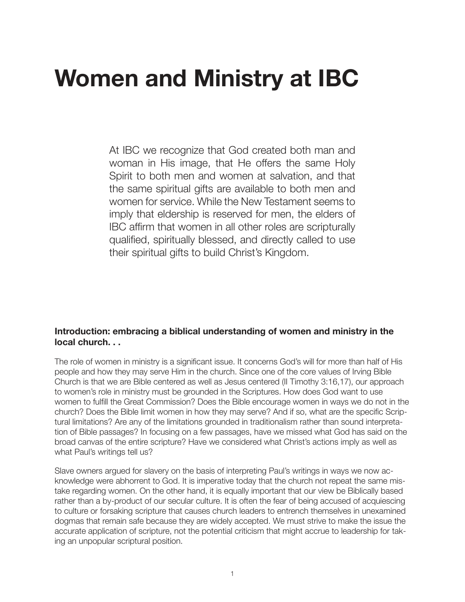# **Women and Ministry at IBC**

At IBC we recognize that God created both man and woman in His image, that He offers the same Holy Spirit to both men and women at salvation, and that the same spiritual gifts are available to both men and women for service. While the New Testament seems to imply that eldership is reserved for men, the elders of IBC affirm that women in all other roles are scripturally qualified, spiritually blessed, and directly called to use their spiritual gifts to build Christ's Kingdom.

### **Introduction: embracing a biblical understanding of women and ministry in the local church. . .**

The role of women in ministry is a significant issue. It concerns God's will for more than half of His people and how they may serve Him in the church. Since one of the core values of Irving Bible Church is that we are Bible centered as well as Jesus centered (II Timothy 3:16,17), our approach to women's role in ministry must be grounded in the Scriptures. How does God want to use women to fulfill the Great Commission? Does the Bible encourage women in ways we do not in the church? Does the Bible limit women in how they may serve? And if so, what are the specific Scriptural limitations? Are any of the limitations grounded in traditionalism rather than sound interpretation of Bible passages? In focusing on a few passages, have we missed what God has said on the broad canvas of the entire scripture? Have we considered what Christ's actions imply as well as what Paul's writings tell us?

Slave owners argued for slavery on the basis of interpreting Paul's writings in ways we now acknowledge were abhorrent to God. It is imperative today that the church not repeat the same mistake regarding women. On the other hand, it is equally important that our view be Biblically based rather than a by-product of our secular culture. It is often the fear of being accused of acquiescing to culture or forsaking scripture that causes church leaders to entrench themselves in unexamined dogmas that remain safe because they are widely accepted. We must strive to make the issue the accurate application of scripture, not the potential criticism that might accrue to leadership for taking an unpopular scriptural position.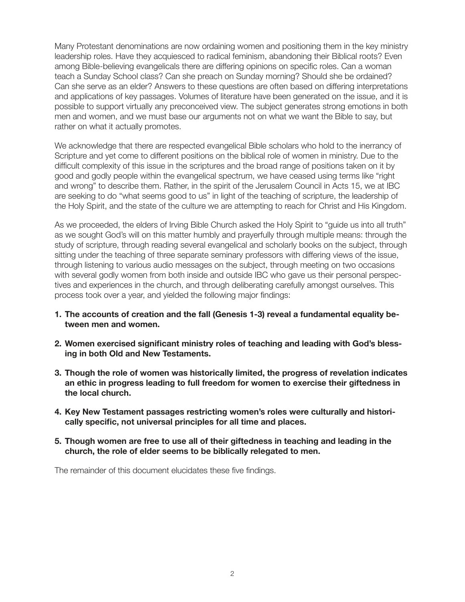Many Protestant denominations are now ordaining women and positioning them in the key ministry leadership roles. Have they acquiesced to radical feminism, abandoning their Biblical roots? Even among Bible-believing evangelicals there are differing opinions on specific roles. Can a woman teach a Sunday School class? Can she preach on Sunday morning? Should she be ordained? Can she serve as an elder? Answers to these questions are often based on differing interpretations and applications of key passages. Volumes of literature have been generated on the issue, and it is possible to support virtually any preconceived view. The subject generates strong emotions in both men and women, and we must base our arguments not on what we want the Bible to say, but rather on what it actually promotes.

We acknowledge that there are respected evangelical Bible scholars who hold to the inerrancy of Scripture and yet come to different positions on the biblical role of women in ministry. Due to the difficult complexity of this issue in the scriptures and the broad range of positions taken on it by good and godly people within the evangelical spectrum, we have ceased using terms like "right and wrong" to describe them. Rather, in the spirit of the Jerusalem Council in Acts 15, we at IBC are seeking to do "what seems good to us" in light of the teaching of scripture, the leadership of the Holy Spirit, and the state of the culture we are attempting to reach for Christ and His Kingdom.

As we proceeded, the elders of Irving Bible Church asked the Holy Spirit to "guide us into all truth" as we sought God's will on this matter humbly and prayerfully through multiple means: through the study of scripture, through reading several evangelical and scholarly books on the subject, through sitting under the teaching of three separate seminary professors with differing views of the issue, through listening to various audio messages on the subject, through meeting on two occasions with several godly women from both inside and outside IBC who gave us their personal perspectives and experiences in the church, and through deliberating carefully amongst ourselves. This process took over a year, and yielded the following major findings:

- **1. The accounts of creation and the fall (Genesis 1-3) reveal a fundamental equality between men and women.**
- **2. Women exercised significant ministry roles of teaching and leading with God's blessing in both Old and New Testaments.**
- **3. Though the role of women was historically limited, the progress of revelation indicates an ethic in progress leading to full freedom for women to exercise their giftedness in the local church.**
- **4. Key New Testament passages restricting women's roles were culturally and historically specific, not universal principles for all time and places.**
- **5. Though women are free to use all of their giftedness in teaching and leading in the church, the role of elder seems to be biblically relegated to men.**

The remainder of this document elucidates these five findings.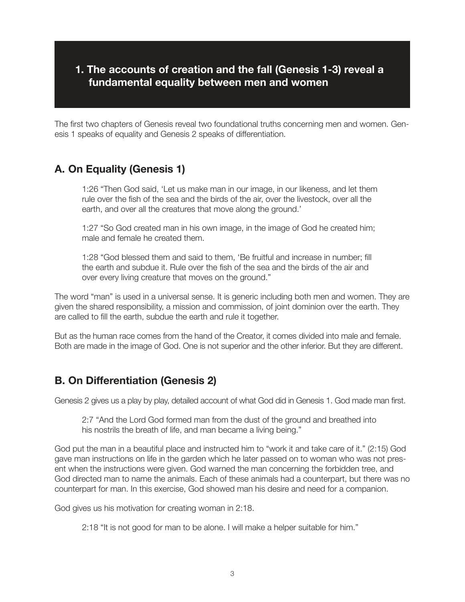## **1. The accounts of creation and the fall (Genesis 1-3) reveal a fundamental equality between men and women**

The first two chapters of Genesis reveal two foundational truths concerning men and women. Genesis 1 speaks of equality and Genesis 2 speaks of differentiation.

# **A. On Equality (Genesis 1)**

1:26 "Then God said, 'Let us make man in our image, in our likeness, and let them rule over the fish of the sea and the birds of the air, over the livestock, over all the earth, and over all the creatures that move along the ground.'

1:27 "So God created man in his own image, in the image of God he created him; male and female he created them.

1:28 "God blessed them and said to them, 'Be fruitful and increase in number; fill the earth and subdue it. Rule over the fish of the sea and the birds of the air and over every living creature that moves on the ground."

The word "man" is used in a universal sense. It is generic including both men and women. They are given the shared responsibility, a mission and commission, of joint dominion over the earth. They are called to fill the earth, subdue the earth and rule it together.

But as the human race comes from the hand of the Creator, it comes divided into male and female. Both are made in the image of God. One is not superior and the other inferior. But they are different.

# **B. On Differentiation (Genesis 2)**

Genesis 2 gives us a play by play, detailed account of what God did in Genesis 1. God made man first.

2:7 "And the Lord God formed man from the dust of the ground and breathed into his nostrils the breath of life, and man became a living being."

God put the man in a beautiful place and instructed him to "work it and take care of it." (2:15) God gave man instructions on life in the garden which he later passed on to woman who was not present when the instructions were given. God warned the man concerning the forbidden tree, and God directed man to name the animals. Each of these animals had a counterpart, but there was no counterpart for man. In this exercise, God showed man his desire and need for a companion.

God gives us his motivation for creating woman in 2:18.

2:18 "It is not good for man to be alone. I will make a helper suitable for him."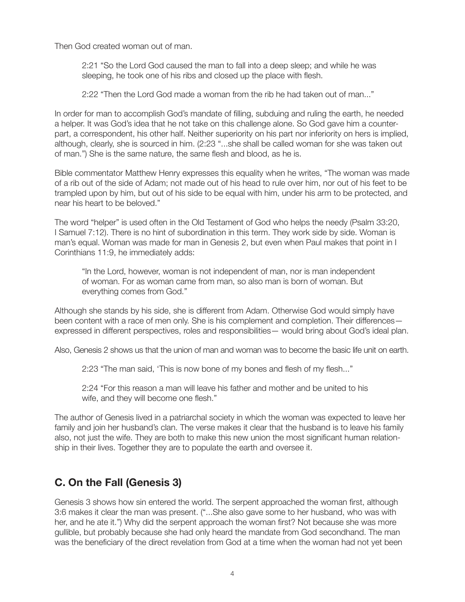Then God created woman out of man.

2:21 "So the Lord God caused the man to fall into a deep sleep; and while he was sleeping, he took one of his ribs and closed up the place with flesh.

2:22 "Then the Lord God made a woman from the rib he had taken out of man..."

In order for man to accomplish God's mandate of filling, subduing and ruling the earth, he needed a helper. It was God's idea that he not take on this challenge alone. So God gave him a counterpart, a correspondent, his other half. Neither superiority on his part nor inferiority on hers is implied, although, clearly, she is sourced in him. (2:23 "...she shall be called woman for she was taken out of man.") She is the same nature, the same flesh and blood, as he is.

Bible commentator Matthew Henry expresses this equality when he writes, "The woman was made of a rib out of the side of Adam; not made out of his head to rule over him, nor out of his feet to be trampled upon by him, but out of his side to be equal with him, under his arm to be protected, and near his heart to be beloved."

The word "helper" is used often in the Old Testament of God who helps the needy (Psalm 33:20, I Samuel 7:12). There is no hint of subordination in this term. They work side by side. Woman is man's equal. Woman was made for man in Genesis 2, but even when Paul makes that point in I Corinthians 11:9, he immediately adds:

"In the Lord, however, woman is not independent of man, nor is man independent of woman. For as woman came from man, so also man is born of woman. But everything comes from God."

Although she stands by his side, she is different from Adam. Otherwise God would simply have been content with a race of men only. She is his complement and completion. Their differences – expressed in different perspectives, roles and responsibilities— would bring about God's ideal plan.

Also, Genesis 2 shows us that the union of man and woman was to become the basic life unit on earth.

2:23 "The man said, 'This is now bone of my bones and flesh of my flesh..."

2:24 "For this reason a man will leave his father and mother and be united to his wife, and they will become one flesh."

The author of Genesis lived in a patriarchal society in which the woman was expected to leave her family and join her husband's clan. The verse makes it clear that the husband is to leave his family also, not just the wife. They are both to make this new union the most significant human relationship in their lives. Together they are to populate the earth and oversee it.

# **C. On the Fall (Genesis 3)**

Genesis 3 shows how sin entered the world. The serpent approached the woman first, although 3:6 makes it clear the man was present. ("...She also gave some to her husband, who was with her, and he ate it.") Why did the serpent approach the woman first? Not because she was more gullible, but probably because she had only heard the mandate from God secondhand. The man was the beneficiary of the direct revelation from God at a time when the woman had not yet been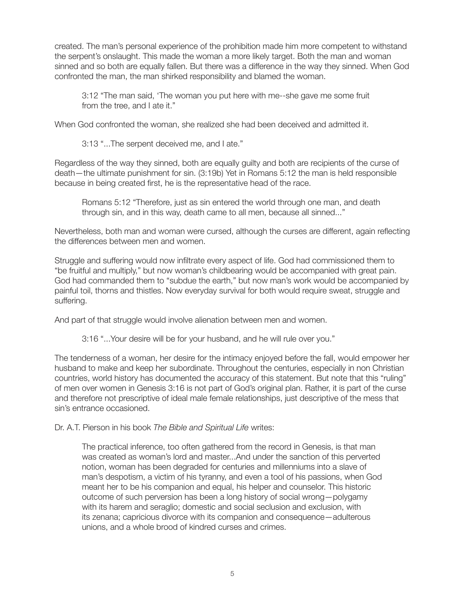created. The man's personal experience of the prohibition made him more competent to withstand the serpent's onslaught. This made the woman a more likely target. Both the man and woman sinned and so both are equally fallen. But there was a difference in the way they sinned. When God confronted the man, the man shirked responsibility and blamed the woman.

3:12 "The man said, 'The woman you put here with me--she gave me some fruit from the tree, and I ate it."

When God confronted the woman, she realized she had been deceived and admitted it.

3:13 "...The serpent deceived me, and I ate."

Regardless of the way they sinned, both are equally guilty and both are recipients of the curse of death—the ultimate punishment for sin. (3:19b) Yet in Romans 5:12 the man is held responsible because in being created first, he is the representative head of the race.

Romans 5:12 "Therefore, just as sin entered the world through one man, and death through sin, and in this way, death came to all men, because all sinned..."

Nevertheless, both man and woman were cursed, although the curses are different, again reflecting the differences between men and women.

Struggle and suffering would now infiltrate every aspect of life. God had commissioned them to "be fruitful and multiply," but now woman's childbearing would be accompanied with great pain. God had commanded them to "subdue the earth," but now man's work would be accompanied by painful toil, thorns and thistles. Now everyday survival for both would require sweat, struggle and suffering.

And part of that struggle would involve alienation between men and women.

3:16 "...Your desire will be for your husband, and he will rule over you."

The tenderness of a woman, her desire for the intimacy enjoyed before the fall, would empower her husband to make and keep her subordinate. Throughout the centuries, especially in non Christian countries, world history has documented the accuracy of this statement. But note that this "ruling" of men over women in Genesis 3:16 is not part of God's original plan. Rather, it is part of the curse and therefore not prescriptive of ideal male female relationships, just descriptive of the mess that sin's entrance occasioned.

Dr. A.T. Pierson in his book *The Bible and Spiritual Life* writes:

The practical inference, too often gathered from the record in Genesis, is that man was created as woman's lord and master...And under the sanction of this perverted notion, woman has been degraded for centuries and millenniums into a slave of man's despotism, a victim of his tyranny, and even a tool of his passions, when God meant her to be his companion and equal, his helper and counselor. This historic outcome of such perversion has been a long history of social wrong—polygamy with its harem and seraglio; domestic and social seclusion and exclusion, with its zenana; capricious divorce with its companion and consequence—adulterous unions, and a whole brood of kindred curses and crimes.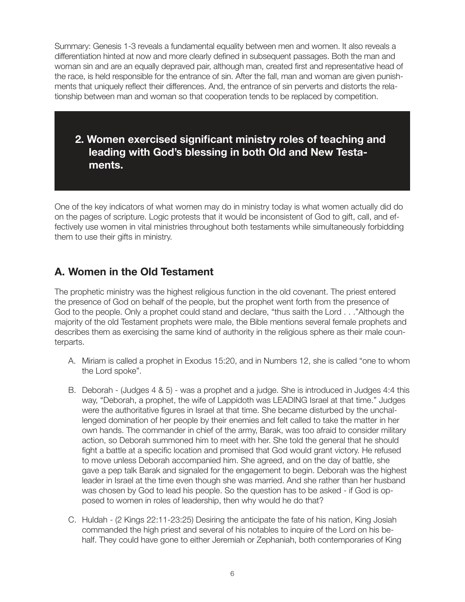Summary: Genesis 1-3 reveals a fundamental equality between men and women. It also reveals a differentiation hinted at now and more clearly defined in subsequent passages. Both the man and woman sin and are an equally depraved pair, although man, created first and representative head of the race, is held responsible for the entrance of sin. After the fall, man and woman are given punishments that uniquely reflect their differences. And, the entrance of sin perverts and distorts the relationship between man and woman so that cooperation tends to be replaced by competition.

**2. Women exercised significant ministry roles of teaching and leading with God's blessing in both Old and New Testaments.**

One of the key indicators of what women may do in ministry today is what women actually did do on the pages of scripture. Logic protests that it would be inconsistent of God to gift, call, and effectively use women in vital ministries throughout both testaments while simultaneously forbidding them to use their gifts in ministry.

# **A. Women in the Old Testament**

The prophetic ministry was the highest religious function in the old covenant. The priest entered the presence of God on behalf of the people, but the prophet went forth from the presence of God to the people. Only a prophet could stand and declare, "thus saith the Lord . . ."Although the majority of the old Testament prophets were male, the Bible mentions several female prophets and describes them as exercising the same kind of authority in the religious sphere as their male counterparts.

- A. Miriam is called a prophet in Exodus 15:20, and in Numbers 12, she is called "one to whom the Lord spoke".
- B. Deborah (Judges 4 & 5) was a prophet and a judge. She is introduced in Judges 4:4 this way, "Deborah, a prophet, the wife of Lappidoth was LEADING Israel at that time." Judges were the authoritative figures in Israel at that time. She became disturbed by the unchallenged domination of her people by their enemies and felt called to take the matter in her own hands. The commander in chief of the army, Barak, was too afraid to consider military action, so Deborah summoned him to meet with her. She told the general that he should fight a battle at a specific location and promised that God would grant victory. He refused to move unless Deborah accompanied him. She agreed, and on the day of battle, she gave a pep talk Barak and signaled for the engagement to begin. Deborah was the highest leader in Israel at the time even though she was married. And she rather than her husband was chosen by God to lead his people. So the question has to be asked - if God is opposed to women in roles of leadership, then why would he do that?
- C. Huldah (2 Kings 22:11-23:25) Desiring the anticipate the fate of his nation, King Josiah commanded the high priest and several of his notables to inquire of the Lord on his behalf. They could have gone to either Jeremiah or Zephaniah, both contemporaries of King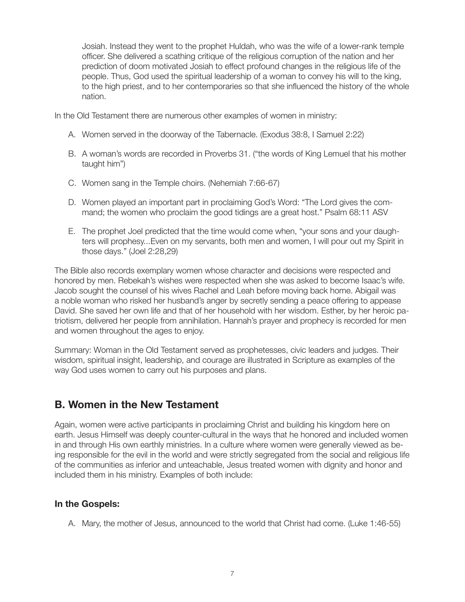Josiah. Instead they went to the prophet Huldah, who was the wife of a lower-rank temple officer. She delivered a scathing critique of the religious corruption of the nation and her prediction of doom motivated Josiah to effect profound changes in the religious life of the people. Thus, God used the spiritual leadership of a woman to convey his will to the king, to the high priest, and to her contemporaries so that she influenced the history of the whole nation.

In the Old Testament there are numerous other examples of women in ministry:

- A. Women served in the doorway of the Tabernacle. (Exodus 38:8, I Samuel 2:22)
- B. A woman's words are recorded in Proverbs 31. ("the words of King Lemuel that his mother taught him")
- C. Women sang in the Temple choirs. (Nehemiah 7:66-67)
- D. Women played an important part in proclaiming God's Word: "The Lord gives the command; the women who proclaim the good tidings are a great host." Psalm 68:11 ASV
- E. The prophet Joel predicted that the time would come when, "your sons and your daughters will prophesy...Even on my servants, both men and women, I will pour out my Spirit in those days." (Joel 2:28,29)

The Bible also records exemplary women whose character and decisions were respected and honored by men. Rebekah's wishes were respected when she was asked to become Isaac's wife. Jacob sought the counsel of his wives Rachel and Leah before moving back home. Abigail was a noble woman who risked her husband's anger by secretly sending a peace offering to appease David. She saved her own life and that of her household with her wisdom. Esther, by her heroic patriotism, delivered her people from annihilation. Hannah's prayer and prophecy is recorded for men and women throughout the ages to enjoy.

Summary: Woman in the Old Testament served as prophetesses, civic leaders and judges. Their wisdom, spiritual insight, leadership, and courage are illustrated in Scripture as examples of the way God uses women to carry out his purposes and plans.

# **B. Women in the New Testament**

Again, women were active participants in proclaiming Christ and building his kingdom here on earth. Jesus Himself was deeply counter-cultural in the ways that he honored and included women in and through His own earthly ministries. In a culture where women were generally viewed as being responsible for the evil in the world and were strictly segregated from the social and religious life of the communities as inferior and unteachable, Jesus treated women with dignity and honor and included them in his ministry. Examples of both include:

### **In the Gospels:**

A. Mary, the mother of Jesus, announced to the world that Christ had come. (Luke 1:46-55)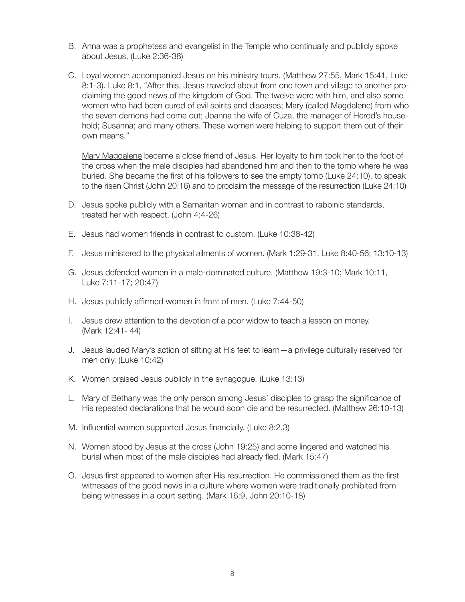- B. Anna was a prophetess and evangelist in the Temple who continually and publicly spoke about Jesus. (Luke 2:36-38)
- C. Loyal women accompanied Jesus on his ministry tours. (Matthew 27:55, Mark 15:41, Luke 8:1-3). Luke 8:1, "After this, Jesus traveled about from one town and village to another proclaiming the good news of the kingdom of God. The twelve were with him, and also some women who had been cured of evil spirits and diseases; Mary (called Magdalene) from who the seven demons had come out; Joanna the wife of Cuza, the manager of Herod's household; Susanna; and many others. These women were helping to support them out of their own means."

Mary Magdalene became a close friend of Jesus. Her loyalty to him took her to the foot of the cross when the male disciples had abandoned him and then to the tomb where he was buried. She became the first of his followers to see the empty tomb (Luke 24:10), to speak to the risen Christ (John 20:16) and to proclaim the message of the resurrection (Luke 24:10)

- D. Jesus spoke publicly with a Samaritan woman and in contrast to rabbinic standards, treated her with respect. (John 4:4-26)
- E. Jesus had women friends in contrast to custom. (Luke 10:38-42)
- F. Jesus ministered to the physical ailments of women. (Mark 1:29-31, Luke 8:40-56; 13:10-13)
- G. Jesus defended women in a male-dominated culture. (Matthew 19:3-10; Mark 10:11, Luke 7:11-17; 20:47)
- H. Jesus publicly affirmed women in front of men. (Luke 7:44-50)
- I. Jesus drew attention to the devotion of a poor widow to teach a lesson on money. (Mark 12:41- 44)
- J. Jesus lauded Mary's action of sitting at His feet to learn—a privilege culturally reserved for men only. (Luke 10:42)
- K. Women praised Jesus publicly in the synagogue. (Luke 13:13)
- L. Mary of Bethany was the only person among Jesus' disciples to grasp the significance of His repeated declarations that he would soon die and be resurrected. (Matthew 26:10-13)
- M. Influential women supported Jesus financially. (Luke 8:2,3)
- N. Women stood by Jesus at the cross (John 19:25) and some lingered and watched his burial when most of the male disciples had already fled. (Mark 15:47)
- O. Jesus first appeared to women after His resurrection. He commissioned them as the first witnesses of the good news in a culture where women were traditionally prohibited from being witnesses in a court setting. (Mark 16:9, John 20:10-18)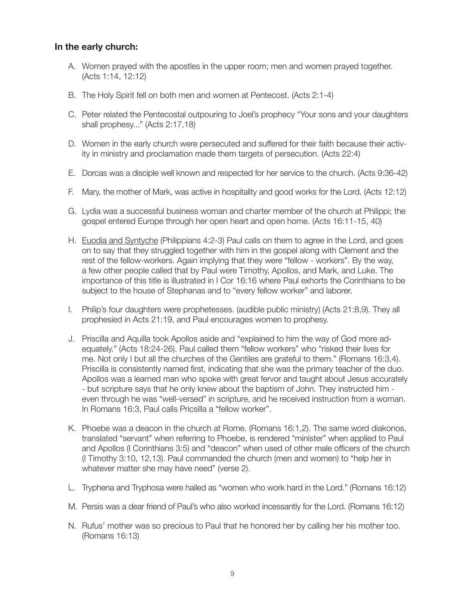## **In the early church:**

- A. Women prayed with the apostles in the upper room; men and women prayed together. (Acts 1:14, 12:12)
- B. The Holy Spirit fell on both men and women at Pentecost. (Acts 2:1-4)
- C. Peter related the Pentecostal outpouring to Joel's prophecy "Your sons and your daughters shall prophesy..." (Acts 2:17,18)
- D. Women in the early church were persecuted and suffered for their faith because their activity in ministry and proclamation made them targets of persecution. (Acts 22:4)
- E. Dorcas was a disciple well known and respected for her service to the church. (Acts 9:36-42)
- F. Mary, the mother of Mark, was active in hospitality and good works for the Lord. (Acts 12:12)
- G. Lydia was a successful business woman and charter member of the church at Philippi; the gospel entered Europe through her open heart and open home. (Acts 16:11-15, 40)
- H. Euodia and Syntyche (Philippians 4:2-3) Paul calls on them to agree in the Lord, and goes on to say that they struggled together with him in the gospel along with Clement and the rest of the fellow-workers. Again implying that they were "fellow - workers". By the way, a few other people called that by Paul were Timothy, Apollos, and Mark, and Luke. The importance of this title is illustrated in I Cor 16:16 where Paul exhorts the Corinthians to be subject to the house of Stephanas and to "every fellow worker" and laborer.
- I. Philip's four daughters were prophetesses. (audible public ministry) (Acts 21:8,9). They all prophesied in Acts 21:19, and Paul encourages women to prophesy.
- J. Priscilla and Aquilla took Apollos aside and "explained to him the way of God more adequately." (Acts 18:24-26). Paul called them "fellow workers" who "risked their lives for me. Not only I but all the churches of the Gentiles are grateful to them." (Romans 16:3,4). Priscilla is consistently named first, indicating that she was the primary teacher of the duo. Apollos was a learned man who spoke with great fervor and taught about Jesus accurately - but scripture says that he only knew about the baptism of John. They instructed him even through he was "well-versed" in scripture, and he received instruction from a woman. In Romans 16:3, Paul calls Pricsilla a "fellow worker".
- K. Phoebe was a deacon in the church at Rome. (Romans 16:1,2). The same word diakonos, translated "servant" when referring to Phoebe, is rendered "minister" when applied to Paul and Apollos (I Corinthians 3:5) and "deacon" when used of other male officers of the church (I Timothy 3:10, 12,13). Paul commanded the church (men and women) to "help her in whatever matter she may have need" (verse 2).
- L. Tryphena and Tryphosa were hailed as "women who work hard in the Lord." (Romans 16:12)
- M. Persis was a dear friend of Paul's who also worked incessantly for the Lord. (Romans 16:12)
- N. Rufus' mother was so precious to Paul that he honored her by calling her his mother too. (Romans 16:13)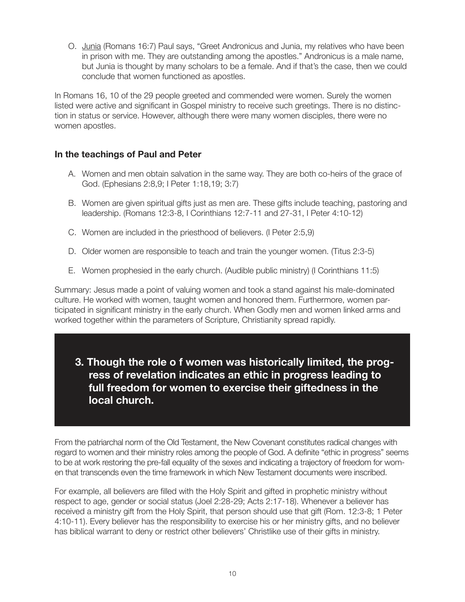O. Junia (Romans 16:7) Paul says, "Greet Andronicus and Junia, my relatives who have been in prison with me. They are outstanding among the apostles." Andronicus is a male name, but Junia is thought by many scholars to be a female. And if that's the case, then we could conclude that women functioned as apostles.

In Romans 16, 10 of the 29 people greeted and commended were women. Surely the women listed were active and significant in Gospel ministry to receive such greetings. There is no distinction in status or service. However, although there were many women disciples, there were no women apostles.

## **In the teachings of Paul and Peter**

- A. Women and men obtain salvation in the same way. They are both co-heirs of the grace of God. (Ephesians 2:8,9; I Peter 1:18,19; 3:7)
- B. Women are given spiritual gifts just as men are. These gifts include teaching, pastoring and leadership. (Romans 12:3-8, I Corinthians 12:7-11 and 27-31, I Peter 4:10-12)
- C. Women are included in the priesthood of believers. (I Peter 2:5,9)
- D. Older women are responsible to teach and train the younger women. (Titus 2:3-5)
- E. Women prophesied in the early church. (Audible public ministry) (I Corinthians 11:5)

Summary: Jesus made a point of valuing women and took a stand against his male-dominated culture. He worked with women, taught women and honored them. Furthermore, women participated in significant ministry in the early church. When Godly men and women linked arms and worked together within the parameters of Scripture, Christianity spread rapidly.

**3. Though the role o f women was historically limited, the progress of revelation indicates an ethic in progress leading to full freedom for women to exercise their giftedness in the local church.** 

From the patriarchal norm of the Old Testament, the New Covenant constitutes radical changes with regard to women and their ministry roles among the people of God. A definite "ethic in progress" seems to be at work restoring the pre-fall equality of the sexes and indicating a trajectory of freedom for women that transcends even the time framework in which New Testament documents were inscribed.

For example, all believers are filled with the Holy Spirit and gifted in prophetic ministry without respect to age, gender or social status (Joel 2:28-29; Acts 2:17-18). Whenever a believer has received a ministry gift from the Holy Spirit, that person should use that gift (Rom. 12:3-8; 1 Peter 4:10-11). Every believer has the responsibility to exercise his or her ministry gifts, and no believer has biblical warrant to deny or restrict other believers' Christlike use of their gifts in ministry.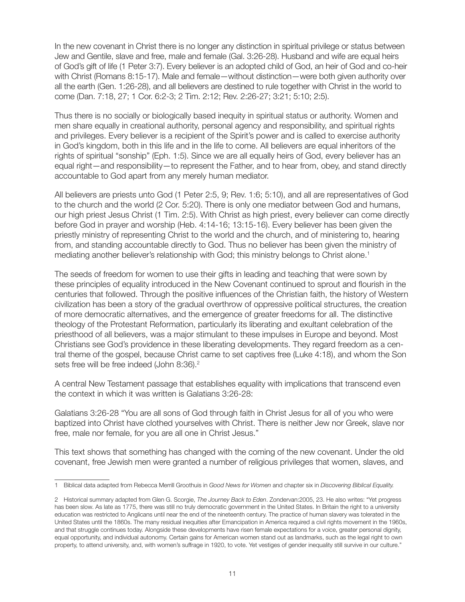In the new covenant in Christ there is no longer any distinction in spiritual privilege or status between Jew and Gentile, slave and free, male and female (Gal. 3:26-28). Husband and wife are equal heirs of God's gift of life (1 Peter 3:7). Every believer is an adopted child of God, an heir of God and co-heir with Christ (Romans 8:15-17). Male and female—without distinction—were both given authority over all the earth (Gen. 1:26-28), and all believers are destined to rule together with Christ in the world to come (Dan. 7:18, 27; 1 Cor. 6:2-3; 2 Tim. 2:12; Rev. 2:26-27; 3:21; 5:10; 2:5).

Thus there is no socially or biologically based inequity in spiritual status or authority. Women and men share equally in creational authority, personal agency and responsibility, and spiritual rights and privileges. Every believer is a recipient of the Spirit's power and is called to exercise authority in God's kingdom, both in this life and in the life to come. All believers are equal inheritors of the rights of spiritual "sonship" (Eph. 1:5). Since we are all equally heirs of God, every believer has an equal right—and responsibility—to represent the Father, and to hear from, obey, and stand directly accountable to God apart from any merely human mediator.

All believers are priests unto God (1 Peter 2:5, 9; Rev. 1:6; 5:10), and all are representatives of God to the church and the world (2 Cor. 5:20). There is only one mediator between God and humans, our high priest Jesus Christ (1 Tim. 2:5). With Christ as high priest, every believer can come directly before God in prayer and worship (Heb. 4:14-16; 13:15-16). Every believer has been given the priestly ministry of representing Christ to the world and the church, and of ministering to, hearing from, and standing accountable directly to God. Thus no believer has been given the ministry of mediating another believer's relationship with God; this ministry belongs to Christ alone.<sup>1</sup>

The seeds of freedom for women to use their gifts in leading and teaching that were sown by these principles of equality introduced in the New Covenant continued to sprout and flourish in the centuries that followed. Through the positive influences of the Christian faith, the history of Western civilization has been a story of the gradual overthrow of oppressive political structures, the creation of more democratic alternatives, and the emergence of greater freedoms for all. The distinctive theology of the Protestant Reformation, particularly its liberating and exultant celebration of the priesthood of all believers, was a major stimulant to these impulses in Europe and beyond. Most Christians see God's providence in these liberating developments. They regard freedom as a central theme of the gospel, because Christ came to set captives free (Luke 4:18), and whom the Son sets free will be free indeed (John 8:36).<sup>2</sup>

A central New Testament passage that establishes equality with implications that transcend even the context in which it was written is Galatians 3:26-28:

Galatians 3:26-28 "You are all sons of God through faith in Christ Jesus for all of you who were baptized into Christ have clothed yourselves with Christ. There is neither Jew nor Greek, slave nor free, male nor female, for you are all one in Christ Jesus."

This text shows that something has changed with the coming of the new covenant. Under the old covenant, free Jewish men were granted a number of religious privileges that women, slaves, and

<sup>1</sup> Biblical data adapted from Rebecca Merrill Groothuis in *Good News for Women* and chapter six in *Discovering Biblical Equality.* 

<sup>2</sup> Historical summary adapted from Glen G. Scorgie, *The Journey Back to Eden*. Zondervan:2005, 23. He also writes: "Yet progress has been slow. As late as 1775, there was still no truly democratic government in the United States. In Britain the right to a university education was restricted to Anglicans until near the end of the nineteenth century. The practice of human slavery was tolerated in the United States until the 1860s. The many residual inequities after Emancipation in America required a civil rights movement in the 1960s, and that struggle continues today. Alongside these developments have risen female expectations for a voice, greater personal dignity, equal opportunity, and individual autonomy. Certain gains for American women stand out as landmarks, such as the legal right to own property, to attend university, and, with women's suffrage in 1920, to vote. Yet vestiges of gender inequality still survive in our culture."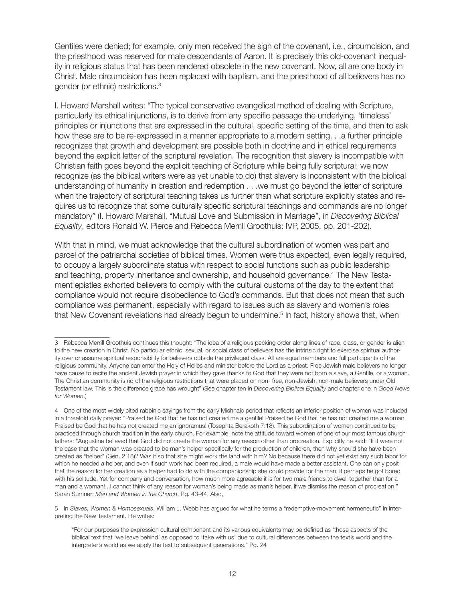Gentiles were denied; for example, only men received the sign of the covenant, i.e., circumcision, and the priesthood was reserved for male descendants of Aaron. It is precisely this old-covenant inequality in religious status that has been rendered obsolete in the new covenant. Now, all are one body in Christ. Male circumcision has been replaced with baptism, and the priesthood of all believers has no gender (or ethnic) restrictions.<sup>3</sup>

I. Howard Marshall writes: "The typical conservative evangelical method of dealing with Scripture, particularly its ethical injunctions, is to derive from any specific passage the underlying, 'timeless' principles or injunctions that are expressed in the cultural, specific setting of the time, and then to ask how these are to be re-expressed in a manner appropriate to a modern setting. . .a further principle recognizes that growth and development are possible both in doctrine and in ethical requirements beyond the explicit letter of the scriptural revelation. The recognition that slavery is incompatible with Christian faith goes beyond the explicit teaching of Scripture while being fully scriptural: we now recognize (as the biblical writers were as yet unable to do) that slavery is inconsistent with the biblical understanding of humanity in creation and redemption . . .we must go beyond the letter of scripture when the trajectory of scriptural teaching takes us further than what scripture explicitly states and requires us to recognize that some culturally specific scriptural teachings and commands are no longer mandatory" (I. Howard Marshall, "Mutual Love and Submission in Marriage", in *Discovering Biblical Equality*, editors Ronald W. Pierce and Rebecca Merrill Groothuis: IVP, 2005, pp. 201-202).

With that in mind, we must acknowledge that the cultural subordination of women was part and parcel of the patriarchal societies of biblical times. Women were thus expected, even legally required, to occupy a largely subordinate status with respect to social functions such as public leadership and teaching, property inheritance and ownership, and household governance.<sup>4</sup> The New Testament epistles exhorted believers to comply with the cultural customs of the day to the extent that compliance would not require disobedience to God's commands. But that does not mean that such compliance was permanent, especially with regard to issues such as slavery and women's roles that New Covenant revelations had already begun to undermine.<sup>5</sup> In fact, history shows that, when

<sup>3</sup> Rebecca Merrill Groothuis continues this thought: "The idea of a religious pecking order along lines of race, class, or gender is alien to the new creation in Christ. No particular ethnic, sexual, or social class of believers has the intrinsic right to exercise spiritual authority over or assume spiritual responsibility for believers outside the privileged class. All are equal members and full participants of the religious community. Anyone can enter the Holy of Holies and minister before the Lord as a priest. Free Jewish male believers no longer have cause to recite the ancient Jewish prayer in which they gave thanks to God that they were not born a slave, a Gentile, or a woman. The Christian community is rid of the religious restrictions that were placed on non- free, non-Jewish, non-male believers under Old Testament law. This is the difference grace has wrought" (See chapter ten in *Discovering Biblical Equality* and chapter one in *Good News for Women*.)

<sup>4</sup> One of the most widely cited rabbinic sayings from the early Mishnaic period that reflects an inferior position of women was included in a threefold daily prayer: "Praised be God that he has not created me a gentile! Praised be God that he has not created me a woman! Praised be God that he has not created me an ignoramus! (Tosephta Berakoth 7:18). This subordination of women continued to be practiced through church tradition in the early church. For example, note the attitude toward women of one of our most famous church fathers: "Augustine believed that God did not create the woman for any reason other than procreation. Explicitly he said: "If it were not the case that the woman was created to be man's helper specifically for the production of children, then why should she have been created as "helper" (Gen. 2:18)? Was it so that she might work the land with him? No because there did not yet exist any such labor for which he needed a helper, and even if such work had been required, a male would have made a better assistant. One can only posit that the reason for her creation as a helper had to do with the companionship she could provide for the man, if perhaps he got bored with his solitude. Yet for company and conversation, how much more agreeable it is for two male friends to dwell together than for a man and a woman!...I cannot think of any reason for woman's being made as man's helper, if we dismiss the reason of procreation." Sarah Sumner: *Men and Women in the Church*, Pg. 43-44. Also,

<sup>5</sup> In *Slaves, Women & Homosexuals*, William J. Webb has argued for what he terms a "redemptive-movement hermeneutic" in interpreting the New Testament. He writes:

<sup>&</sup>quot;For our purposes the expression cultural component and its various equivalents may be defined as 'those aspects of the biblical text that 'we leave behind' as opposed to 'take with us' due to cultural differences between the text's world and the interpreter's world as we apply the text to subsequent generations." Pg. 24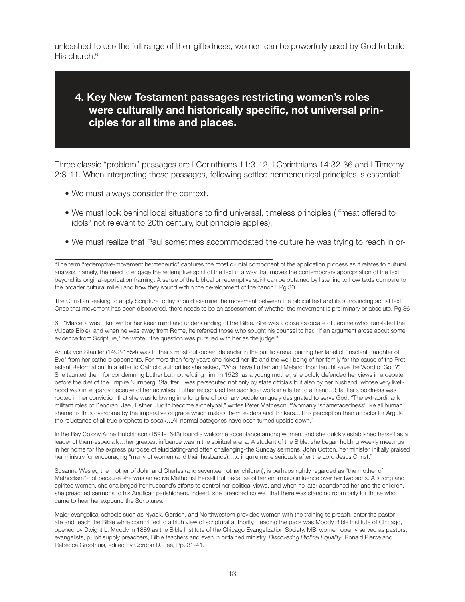unleashed to use the full range of their giftedness, women can be powerfully used by God to build His church.<sup>6</sup>

# **4. Key New Testament passages restricting women's roles were culturally and historically specific, not universal principles for all time and places.**

Three classic "problem" passages are I Corinthians 11:3-12, I Corinthians 14:32-36 and I Timothy 2:8-11. When interpreting these passages, following settled hermeneutical principles is essential:

- We must always consider the context.
- We must look behind local situations to find universal, timeless principles ( "meat offered to idols" not relevant to 20th century, but principle applies).
- We must realize that Paul sometimes accommodated the culture he was trying to reach in or-

"The term "redemptive-movement hermeneutic" captures the most crucial component of the application process as it relates to cultural analysis, namely, the need to engage the redemptive spirit of the text in a way that moves the contemporary appropriation of the text beyond its original-application framing. A sense of the biblical or redemptive spirit can be obtained by listening to how texts compare to the broader cultural milieu and how they sound within the development of the canon." Pg 30

The Christian seeking to apply Scripture today should examine the movement between the biblical text and its surrounding social text. Once that movement has been discovered, there needs to be an assessment of whether the movement is preliminary or absolute. Pg 36

6 "Marcella was…known for her keen mind and understanding of the Bible. She was a close associate of Jerome (who translated the Vulgate Bible), and when he was away from Rome, he referred those who sought his counsel to her. "If an argument arose about some evidence from Scripture," he wrote, "the question was pursued with her as the judge."

Argula von Stauffer (1492-1554) was Luther's most outspoken defender in the public arena, gaining her label of "insolent daughter of Eve" from her catholic opponents. For more than forty years she risked her life and the well-being of her family for the cause of the Protestant Reformation. In a letter to Catholic authorities she asked, "What have Luther and Melanchthon taught save the Word of God?" She taunted them for condemning Luther but not refuting him. In 1523, as a young mother, she boldly defended her views in a debate before the diet of the Empire Nurnberg. Stauffer…was persecuted not only by state officials but also by her husband, whose very livelihood was in jeopardy because of her activities. Luther recognized her sacrificial work in a letter to a friend…Stauffer's boldness was rooted in her conviction that she was following in a long line of ordinary people uniquely designated to serve God. "The extraordinarily militant roles of Deborah, Jael, Esther, Judith become archetypal," writes Peter Matheson. "Womanly 'shamefacedness' like all human shame, is thus overcome by the imperative of grace which makes them leaders and thinkers…This perception then unlocks for Argula the reluctance of all true prophets to speak…All normal categories have been turned upside down."

In the Bay Colony Anne Hutchinson (1591-1643) found a welcome acceptance among women, and she quickly established herself as a leader of them-especially…her greatest influence was in the spiritual arena. A student of the Bible, she began holding weekly meetings in her home for the express purpose of elucidating-and often challenging-the Sunday sermons. John Cotton, her minister, initially praised her ministry for encouraging "many of women (and their husbands)…to inquire more seriously after the Lord Jesus Christ."

Susanna Wesley, the mother of John and Charles (and seventeen other children), is perhaps rightly regarded as "the mother of Methodism"-not because she was an active Methodist herself but because of her enormous influence over her two sons. A strong and spirited woman, she challenged her husband's efforts to control her political views, and when he later abandoned her and the children, she preached sermons to his Anglican parishioners. Indeed, she preached so well that there was standing room only for those who came to hear her expound the Scriptures.

Major evangelical schools such as Nyack, Gordon, and Northwestern provided women with the training to preach, enter the pastorate and teach the Bible while committed to a high view of scriptural authority. Leading the pack was Moody Bible Institute of Chicago, opened by Dwight L. Moody in 1889 as the Bible Institute of the Chicago Evangelization Society. MBI women openly served as pastors, evangelists, pulpit supply preachers, Bible teachers and even in ordained ministry. *Discovering Biblical Equality*: Ronald Pierce and Rebecca Groothuis, edited by Gordon D. Fee, Pp. 31-41.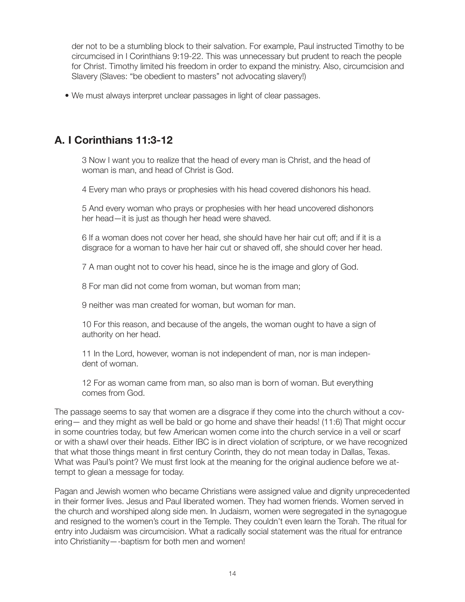der not to be a stumbling block to their salvation. For example, Paul instructed Timothy to be circumcised in I Corinthians 9:19-22. This was unnecessary but prudent to reach the people for Christ. Timothy limited his freedom in order to expand the ministry. Also, circumcision and Slavery (Slaves: "be obedient to masters" not advocating slavery!)

• We must always interpret unclear passages in light of clear passages.

# **A. I Corinthians 11:3-12**

3 Now I want you to realize that the head of every man is Christ, and the head of woman is man, and head of Christ is God.

4 Every man who prays or prophesies with his head covered dishonors his head.

5 And every woman who prays or prophesies with her head uncovered dishonors her head—it is just as though her head were shaved.

6 If a woman does not cover her head, she should have her hair cut off; and if it is a disgrace for a woman to have her hair cut or shaved off, she should cover her head.

7 A man ought not to cover his head, since he is the image and glory of God.

8 For man did not come from woman, but woman from man;

9 neither was man created for woman, but woman for man.

10 For this reason, and because of the angels, the woman ought to have a sign of authority on her head.

11 In the Lord, however, woman is not independent of man, nor is man independent of woman.

12 For as woman came from man, so also man is born of woman. But everything comes from God.

The passage seems to say that women are a disgrace if they come into the church without a covering— and they might as well be bald or go home and shave their heads! (11:6) That might occur in some countries today, but few American women come into the church service in a veil or scarf or with a shawl over their heads. Either IBC is in direct violation of scripture, or we have recognized that what those things meant in first century Corinth, they do not mean today in Dallas, Texas. What was Paul's point? We must first look at the meaning for the original audience before we attempt to glean a message for today.

Pagan and Jewish women who became Christians were assigned value and dignity unprecedented in their former lives. Jesus and Paul liberated women. They had women friends. Women served in the church and worshiped along side men. In Judaism, women were segregated in the synagogue and resigned to the women's court in the Temple. They couldn't even learn the Torah. The ritual for entry into Judaism was circumcision. What a radically social statement was the ritual for entrance into Christianity—-baptism for both men and women!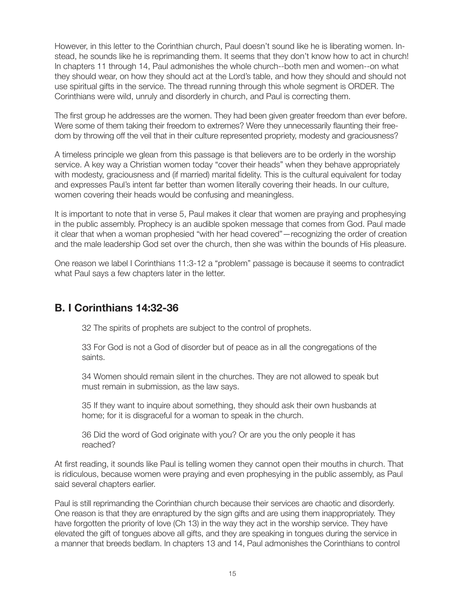However, in this letter to the Corinthian church, Paul doesn't sound like he is liberating women. Instead, he sounds like he is reprimanding them. It seems that they don't know how to act in church! In chapters 11 through 14, Paul admonishes the whole church--both men and women--on what they should wear, on how they should act at the Lord's table, and how they should and should not use spiritual gifts in the service. The thread running through this whole segment is ORDER. The Corinthians were wild, unruly and disorderly in church, and Paul is correcting them.

The first group he addresses are the women. They had been given greater freedom than ever before. Were some of them taking their freedom to extremes? Were they unnecessarily flaunting their freedom by throwing off the veil that in their culture represented propriety, modesty and graciousness?

A timeless principle we glean from this passage is that believers are to be orderly in the worship service. A key way a Christian women today "cover their heads" when they behave appropriately with modesty, graciousness and (if married) marital fidelity. This is the cultural equivalent for today and expresses Paul's intent far better than women literally covering their heads. In our culture, women covering their heads would be confusing and meaningless.

It is important to note that in verse 5, Paul makes it clear that women are praying and prophesying in the public assembly. Prophecy is an audible spoken message that comes from God. Paul made it clear that when a woman prophesied "with her head covered"—recognizing the order of creation and the male leadership God set over the church, then she was within the bounds of His pleasure.

One reason we label I Corinthians 11:3-12 a "problem" passage is because it seems to contradict what Paul says a few chapters later in the letter.

# **B. I Corinthians 14:32-36**

32 The spirits of prophets are subject to the control of prophets.

33 For God is not a God of disorder but of peace as in all the congregations of the saints.

34 Women should remain silent in the churches. They are not allowed to speak but must remain in submission, as the law says.

35 If they want to inquire about something, they should ask their own husbands at home; for it is disgraceful for a woman to speak in the church.

36 Did the word of God originate with you? Or are you the only people it has reached?

At first reading, it sounds like Paul is telling women they cannot open their mouths in church. That is ridiculous, because women were praying and even prophesying in the public assembly, as Paul said several chapters earlier.

Paul is still reprimanding the Corinthian church because their services are chaotic and disorderly. One reason is that they are enraptured by the sign gifts and are using them inappropriately. They have forgotten the priority of love (Ch 13) in the way they act in the worship service. They have elevated the gift of tongues above all gifts, and they are speaking in tongues during the service in a manner that breeds bedlam. In chapters 13 and 14, Paul admonishes the Corinthians to control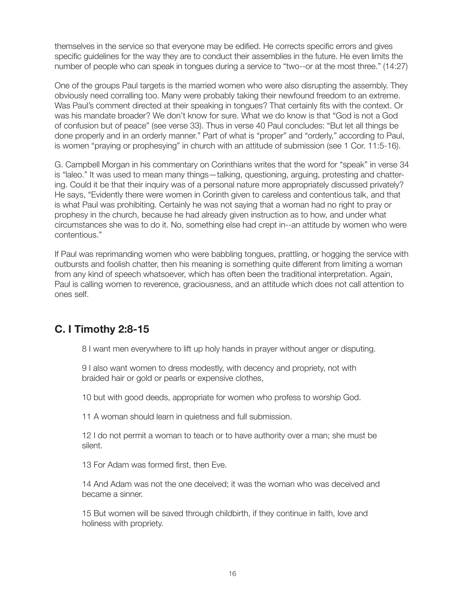themselves in the service so that everyone may be edified. He corrects specific errors and gives specific guidelines for the way they are to conduct their assemblies in the future. He even limits the number of people who can speak in tongues during a service to "two--or at the most three." (14:27)

One of the groups Paul targets is the married women who were also disrupting the assembly. They obviously need corralling too. Many were probably taking their newfound freedom to an extreme. Was Paul's comment directed at their speaking in tongues? That certainly fits with the context. Or was his mandate broader? We don't know for sure. What we do know is that "God is not a God of confusion but of peace" (see verse 33). Thus in verse 40 Paul concludes: "But let all things be done properly and in an orderly manner." Part of what is "proper" and "orderly," according to Paul, is women "praying or prophesying" in church with an attitude of submission (see 1 Cor. 11:5-16).

G. Campbell Morgan in his commentary on Corinthians writes that the word for "speak" in verse 34 is "laleo." It was used to mean many things—talking, questioning, arguing, protesting and chattering. Could it be that their inquiry was of a personal nature more appropriately discussed privately? He says, "Evidently there were women in Corinth given to careless and contentious talk, and that is what Paul was prohibiting. Certainly he was not saying that a woman had no right to pray or prophesy in the church, because he had already given instruction as to how, and under what circumstances she was to do it. No, something else had crept in--an attitude by women who were contentious."

If Paul was reprimanding women who were babbling tongues, prattling, or hogging the service with outbursts and foolish chatter, then his meaning is something quite different from limiting a woman from any kind of speech whatsoever, which has often been the traditional interpretation. Again, Paul is calling women to reverence, graciousness, and an attitude which does not call attention to ones self.

# **C. I Timothy 2:8-15**

8 I want men everywhere to lift up holy hands in prayer without anger or disputing.

9 I also want women to dress modestly, with decency and propriety, not with braided hair or gold or pearls or expensive clothes,

10 but with good deeds, appropriate for women who profess to worship God.

11 A woman should learn in quietness and full submission.

12 I do not permit a woman to teach or to have authority over a man; she must be silent.

13 For Adam was formed first, then Eve.

14 And Adam was not the one deceived; it was the woman who was deceived and became a sinner.

15 But women will be saved through childbirth, if they continue in faith, love and holiness with propriety.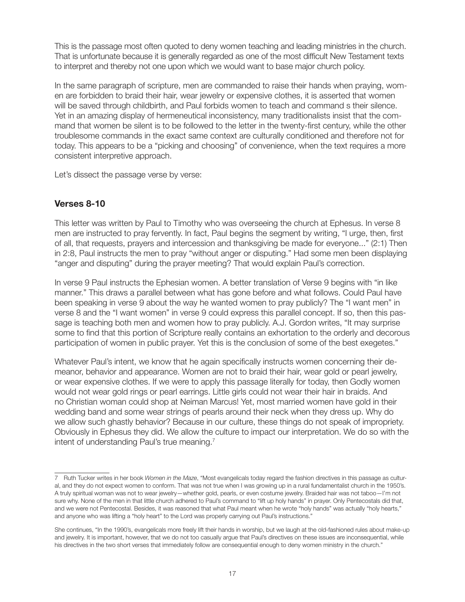This is the passage most often quoted to deny women teaching and leading ministries in the church. That is unfortunate because it is generally regarded as one of the most difficult New Testament texts to interpret and thereby not one upon which we would want to base major church policy.

In the same paragraph of scripture, men are commanded to raise their hands when praying, women are forbidden to braid their hair, wear jewelry or expensive clothes, it is asserted that women will be saved through childbirth, and Paul forbids women to teach and command s their silence. Yet in an amazing display of hermeneutical inconsistency, many traditionalists insist that the command that women be silent is to be followed to the letter in the twenty-first century, while the other troublesome commands in the exact same context are culturally conditioned and therefore not for today. This appears to be a "picking and choosing" of convenience, when the text requires a more consistent interpretive approach.

Let's dissect the passage verse by verse:

## **Verses 8-10**

This letter was written by Paul to Timothy who was overseeing the church at Ephesus. In verse 8 men are instructed to pray fervently. In fact, Paul begins the segment by writing, "I urge, then, first of all, that requests, prayers and intercession and thanksgiving be made for everyone..." (2:1) Then in 2:8, Paul instructs the men to pray "without anger or disputing." Had some men been displaying "anger and disputing" during the prayer meeting? That would explain Paul's correction.

In verse 9 Paul instructs the Ephesian women. A better translation of Verse 9 begins with "in like manner." This draws a parallel between what has gone before and what follows. Could Paul have been speaking in verse 9 about the way he wanted women to pray publicly? The "I want men" in verse 8 and the "I want women" in verse 9 could express this parallel concept. If so, then this passage is teaching both men and women how to pray publicly. A.J. Gordon writes, "It may surprise some to find that this portion of Scripture really contains an exhortation to the orderly and decorous participation of women in public prayer. Yet this is the conclusion of some of the best exegetes."

Whatever Paul's intent, we know that he again specifically instructs women concerning their demeanor, behavior and appearance. Women are not to braid their hair, wear gold or pearl jewelry, or wear expensive clothes. If we were to apply this passage literally for today, then Godly women would not wear gold rings or pearl earrings. Little girls could not wear their hair in braids. And no Christian woman could shop at Neiman Marcus! Yet, most married women have gold in their wedding band and some wear strings of pearls around their neck when they dress up. Why do we allow such ghastly behavior? Because in our culture, these things do not speak of impropriety. Obviously in Ephesus they did. We allow the culture to impact our interpretation. We do so with the intent of understanding Paul's true meaning.<sup>7</sup>

<sup>7</sup> Ruth Tucker writes in her book *Women in the Maze*, "Most evangelicals today regard the fashion directives in this passage as cultural, and they do not expect women to conform. That was not true when I was growing up in a rural fundamentalist church in the 1950's. A truly spiritual woman was not to wear jewelry—whether gold, pearls, or even costume jewelry. Braided hair was not taboo—I'm not sure why. None of the men in that little church adhered to Paul's command to "lift up holy hands" in prayer. Only Pentecostals did that, and we were not Pentecostal. Besides, it was reasoned that what Paul meant when he wrote "holy hands" was actually "holy hearts," and anyone who was lifting a "holy heart" to the Lord was properly carrying out Paul's instructions."

She continues, "In the 1990's, evangelicals more freely lift their hands in worship, but we laugh at the old-fashioned rules about make-up and jewelry. It is important, however, that we do not too casually argue that Paul's directives on these issues are inconsequential, while his directives in the two short verses that immediately follow are consequential enough to deny women ministry in the church."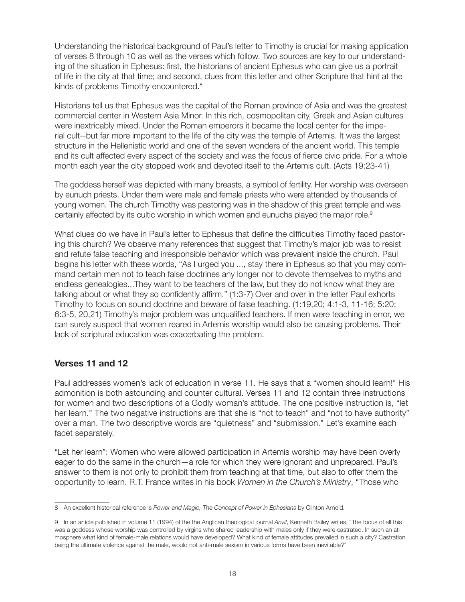Understanding the historical background of Paul's letter to Timothy is crucial for making application of verses 8 through 10 as well as the verses which follow. Two sources are key to our understanding of the situation in Ephesus: first, the historians of ancient Ephesus who can give us a portrait of life in the city at that time; and second, clues from this letter and other Scripture that hint at the kinds of problems Timothy encountered.<sup>8</sup>

Historians tell us that Ephesus was the capital of the Roman province of Asia and was the greatest commercial center in Western Asia Minor. In this rich, cosmopolitan city, Greek and Asian cultures were inextricably mixed. Under the Roman emperors it became the local center for the imperial cult--but far more important to the life of the city was the temple of Artemis. It was the largest structure in the Hellenistic world and one of the seven wonders of the ancient world. This temple and its cult affected every aspect of the society and was the focus of fierce civic pride. For a whole month each year the city stopped work and devoted itself to the Artemis cult. (Acts 19:23-41)

The goddess herself was depicted with many breasts, a symbol of fertility. Her worship was overseen by eunuch priests. Under them were male and female priests who were attended by thousands of young women. The church Timothy was pastoring was in the shadow of this great temple and was certainly affected by its cultic worship in which women and eunuchs played the major role.<sup>9</sup>

What clues do we have in Paul's letter to Ephesus that define the difficulties Timothy faced pastoring this church? We observe many references that suggest that Timothy's major job was to resist and refute false teaching and irresponsible behavior which was prevalent inside the church. Paul begins his letter with these words, "As I urged you ..., stay there in Ephesus so that you may command certain men not to teach false doctrines any longer nor to devote themselves to myths and endless genealogies...They want to be teachers of the law, but they do not know what they are talking about or what they so confidently affirm." (1:3-7) Over and over in the letter Paul exhorts Timothy to focus on sound doctrine and beware of false teaching. (1:19,20; 4:1-3, 11-16; 5:20; 6:3-5, 20,21) Timothy's major problem was unqualified teachers. If men were teaching in error, we can surely suspect that women reared in Artemis worship would also be causing problems. Their lack of scriptural education was exacerbating the problem.

### **Verses 11 and 12**

Paul addresses women's lack of education in verse 11. He says that a "women should learn!" His admonition is both astounding and counter cultural. Verses 11 and 12 contain three instructions for women and two descriptions of a Godly woman's attitude. The one positive instruction is, "let her learn." The two negative instructions are that she is "not to teach" and "not to have authority" over a man. The two descriptive words are "quietness" and "submission." Let's examine each facet separately.

"Let her learn": Women who were allowed participation in Artemis worship may have been overly eager to do the same in the church—a role for which they were ignorant and unprepared. Paul's answer to them is not only to prohibit them from teaching at that time, but also to offer them the opportunity to learn. R.T. France writes in his book *Women in the Church's Ministry*, "Those who

<sup>8</sup> An excellent historical reference is *Power and Magic, The Concept of Power in Ephesians* by Clinton Arnold.

<sup>9</sup> In an article published in volume 11 (1994) of the the Anglican theological journal *Anvil*, Kenneth Bailey writes, "The focus of all this was a goddess whose worship was controlled by virgins who shared leadership with males only if they were castrated. In such an atmosphere what kind of female-male relations would have developed? What kind of female attitudes prevailed in such a city? Castration being the ultimate violence against the male, would not anti-male sexism in various forms have been inevitable?"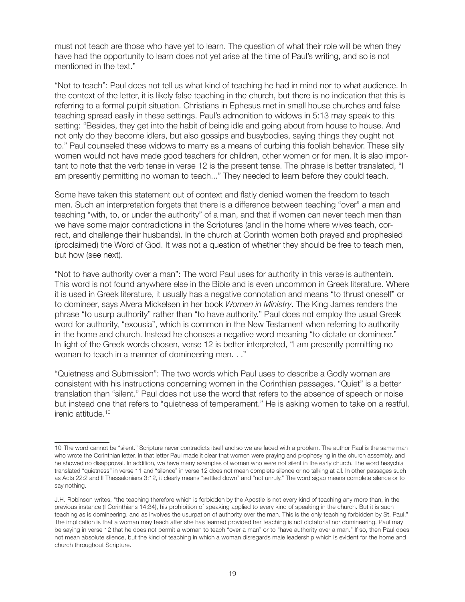must not teach are those who have yet to learn. The question of what their role will be when they have had the opportunity to learn does not yet arise at the time of Paul's writing, and so is not mentioned in the text."

"Not to teach": Paul does not tell us what kind of teaching he had in mind nor to what audience. In the context of the letter, it is likely false teaching in the church, but there is no indication that this is referring to a formal pulpit situation. Christians in Ephesus met in small house churches and false teaching spread easily in these settings. Paul's admonition to widows in 5:13 may speak to this setting: "Besides, they get into the habit of being idle and going about from house to house. And not only do they become idlers, but also gossips and busybodies, saying things they ought not to." Paul counseled these widows to marry as a means of curbing this foolish behavior. These silly women would not have made good teachers for children, other women or for men. It is also important to note that the verb tense in verse 12 is the present tense. The phrase is better translated, "I am presently permitting no woman to teach..." They needed to learn before they could teach.

Some have taken this statement out of context and flatly denied women the freedom to teach men. Such an interpretation forgets that there is a difference between teaching "over" a man and teaching "with, to, or under the authority" of a man, and that if women can never teach men than we have some major contradictions in the Scriptures (and in the home where wives teach, correct, and challenge their husbands). In the church at Corinth women both prayed and prophesied (proclaimed) the Word of God. It was not a question of whether they should be free to teach men, but how (see next).

"Not to have authority over a man": The word Paul uses for authority in this verse is authentein. This word is not found anywhere else in the Bible and is even uncommon in Greek literature. Where it is used in Greek literature, it usually has a negative connotation and means "to thrust oneself" or to domineer, says Alvera Mickelsen in her book *Women in Ministry*. The King James renders the phrase "to usurp authority" rather than "to have authority." Paul does not employ the usual Greek word for authority, "exousia", which is common in the New Testament when referring to authority in the home and church. Instead he chooses a negative word meaning "to dictate or domineer." In light of the Greek words chosen, verse 12 is better interpreted, "I am presently permitting no woman to teach in a manner of domineering men. . ."

"Quietness and Submission": The two words which Paul uses to describe a Godly woman are consistent with his instructions concerning women in the Corinthian passages. "Quiet" is a better translation than "silent." Paul does not use the word that refers to the absence of speech or noise but instead one that refers to "quietness of temperament." He is asking women to take on a restful, irenic attitude.<sup>10</sup>

<sup>10</sup> The word cannot be "silent." Scripture never contradicts itself and so we are faced with a problem. The author Paul is the same man who wrote the Corinthian letter. In that letter Paul made it clear that women were praying and prophesying in the church assembly, and he showed no disapproval. In addition, we have many examples of women who were not silent in the early church. The word hesychia translated "quietness" in verse 11 and "silence" in verse 12 does not mean complete silence or no talking at all. In other passages such as Acts 22:2 and II Thessalonians 3:12, it clearly means "settled down" and "not unruly." The word sigao means complete silence or to say nothing.

J.H. Robinson writes, "the teaching therefore which is forbidden by the Apostle is not every kind of teaching any more than, in the previous instance (I Corinthians 14:34), his prohibition of speaking applied to every kind of speaking in the church. But it is such teaching as is domineering, and as involves the usurpation of authority over the man. This is the only teaching forbidden by St. Paul." The implication is that a woman may teach after she has learned provided her teaching is not dictatorial nor domineering. Paul may be saying in verse 12 that he does not permit a woman to teach "over a man" or to "have authority over a man." If so, then Paul does not mean absolute silence, but the kind of teaching in which a woman disregards male leadership which is evident for the home and church throughout Scripture.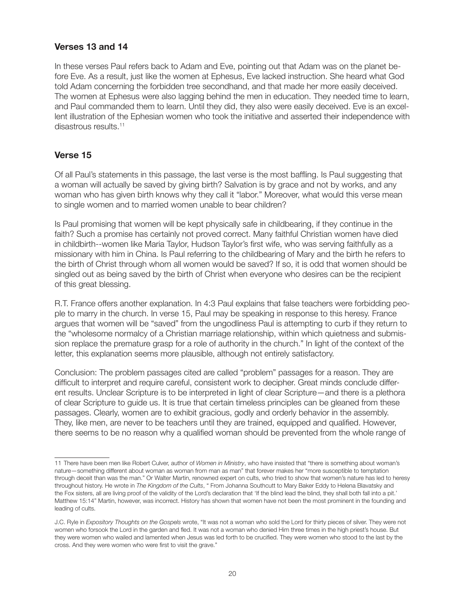## **Verses 13 and 14**

In these verses Paul refers back to Adam and Eve, pointing out that Adam was on the planet before Eve. As a result, just like the women at Ephesus, Eve lacked instruction. She heard what God told Adam concerning the forbidden tree secondhand, and that made her more easily deceived. The women at Ephesus were also lagging behind the men in education. They needed time to learn, and Paul commanded them to learn. Until they did, they also were easily deceived. Eve is an excellent illustration of the Ephesian women who took the initiative and asserted their independence with disastrous results.<sup>11</sup>

## **Verse 15**

Of all Paul's statements in this passage, the last verse is the most baffling. Is Paul suggesting that a woman will actually be saved by giving birth? Salvation is by grace and not by works, and any woman who has given birth knows why they call it "labor." Moreover, what would this verse mean to single women and to married women unable to bear children?

Is Paul promising that women will be kept physically safe in childbearing, if they continue in the faith? Such a promise has certainly not proved correct. Many faithful Christian women have died in childbirth--women like Maria Taylor, Hudson Taylor's first wife, who was serving faithfully as a missionary with him in China. Is Paul referring to the childbearing of Mary and the birth he refers to the birth of Christ through whom all women would be saved? If so, it is odd that women should be singled out as being saved by the birth of Christ when everyone who desires can be the recipient of this great blessing.

R.T. France offers another explanation. In 4:3 Paul explains that false teachers were forbidding people to marry in the church. In verse 15, Paul may be speaking in response to this heresy. France argues that women will be "saved" from the ungodliness Paul is attempting to curb if they return to the "wholesome normalcy of a Christian marriage relationship, within which quietness and submission replace the premature grasp for a role of authority in the church." In light of the context of the letter, this explanation seems more plausible, although not entirely satisfactory.

Conclusion: The problem passages cited are called "problem" passages for a reason. They are difficult to interpret and require careful, consistent work to decipher. Great minds conclude different results. Unclear Scripture is to be interpreted in light of clear Scripture—and there is a plethora of clear Scripture to guide us. It is true that certain timeless principles can be gleaned from these passages. Clearly, women are to exhibit gracious, godly and orderly behavior in the assembly. They, like men, are never to be teachers until they are trained, equipped and qualified. However, there seems to be no reason why a qualified woman should be prevented from the whole range of

<sup>11</sup> There have been men like Robert Culver, author of *Women in Ministry*, who have insisted that "there is something about woman's nature—something different about woman as woman from man as man" that forever makes her "more susceptible to temptation through deceit than was the man." Or Walter Martin, renowned expert on cults, who tried to show that women's nature has led to heresy throughout history. He wrote in *The Kingdom of the Cults*, " From Johanna Southcutt to Mary Baker Eddy to Helena Blavatsky and the Fox sisters, all are living proof of the validity of the Lord's declaration that 'If the blind lead the blind, they shall both fall into a pit.' Matthew 15:14" Martin, however, was incorrect. History has shown that women have not been the most prominent in the founding and leading of cults.

J.C. Ryle in *Expository Thoughts on the Gospels* wrote, "It was not a woman who sold the Lord for thirty pieces of silver. They were not women who forsook the Lord in the garden and fled. It was not a woman who denied Him three times in the high priest's house. But they were women who wailed and lamented when Jesus was led forth to be crucified. They were women who stood to the last by the cross. And they were women who were first to visit the grave."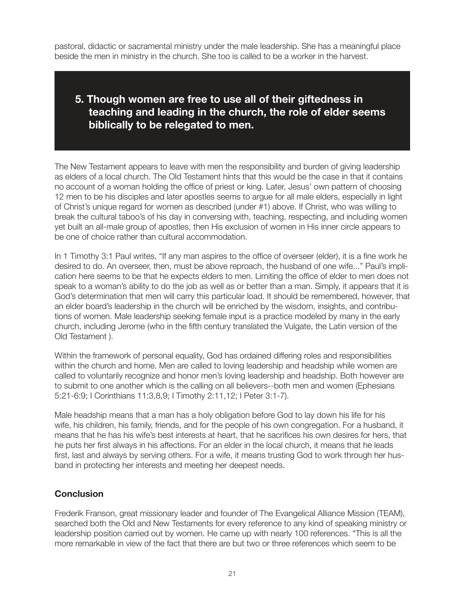pastoral, didactic or sacramental ministry under the male leadership. She has a meaningful place beside the men in ministry in the church. She too is called to be a worker in the harvest.

# **5. Though women are free to use all of their giftedness in teaching and leading in the church, the role of elder seems biblically to be relegated to men.**

The New Testament appears to leave with men the responsibility and burden of giving leadership as elders of a local church. The Old Testament hints that this would be the case in that it contains no account of a woman holding the office of priest or king. Later, Jesus' own pattern of choosing 12 men to be his disciples and later apostles seems to argue for all male elders, especially in light of Christ's unique regard for women as described (under #1) above. If Christ, who was willing to break the cultural taboo's of his day in conversing with, teaching, respecting, and including women yet built an all-male group of apostles, then His exclusion of women in His inner circle appears to be one of choice rather than cultural accommodation.

In 1 Timothy 3:1 Paul writes, "If any man aspires to the office of overseer (elder), it is a fine work he desired to do. An overseer, then, must be above reproach, the husband of one wife..." Paul's implication here seems to be that he expects elders to men. Limiting the office of elder to men does not speak to a woman's ability to do the job as well as or better than a man. Simply, it appears that it is God's determination that men will carry this particular load. It should be remembered, however, that an elder board's leadership in the church will be enriched by the wisdom, insights, and contributions of women. Male leadership seeking female input is a practice modeled by many in the early church, including Jerome (who in the fifth century translated the Vulgate, the Latin version of the Old Testament ).

Within the framework of personal equality, God has ordained differing roles and responsibilities within the church and home. Men are called to loving leadership and headship while women are called to voluntarily recognize and honor men's loving leadership and headship. Both however are to submit to one another which is the calling on all believers--both men and women (Ephesians 5:21-6:9; I Corinthians 11:3,8,9; I Timothy 2:11,12; I Peter 3:1-7).

Male headship means that a man has a holy obligation before God to lay down his life for his wife, his children, his family, friends, and for the people of his own congregation. For a husband, it means that he has his wife's best interests at heart, that he sacrifices his own desires for hers, that he puts her first always in his affections. For an elder in the local church, it means that he leads first, last and always by serving others. For a wife, it means trusting God to work through her husband in protecting her interests and meeting her deepest needs.

### **Conclusion**

Frederik Franson, great missionary leader and founder of The Evangelical Alliance Mission (TEAM), searched both the Old and New Testaments for every reference to any kind of speaking ministry or leadership position carried out by women. He came up with nearly 100 references. "This is all the more remarkable in view of the fact that there are but two or three references which seem to be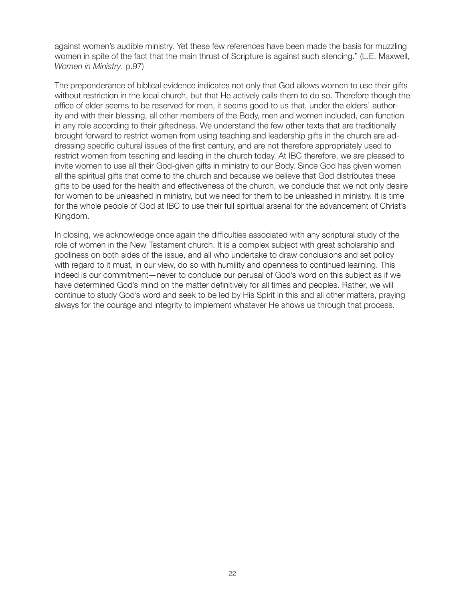against women's audible ministry. Yet these few references have been made the basis for muzzling women in spite of the fact that the main thrust of Scripture is against such silencing." (L.E. Maxwell, *Women in Ministry*, p.97)

The preponderance of biblical evidence indicates not only that God allows women to use their gifts without restriction in the local church, but that He actively calls them to do so. Therefore though the office of elder seems to be reserved for men, it seems good to us that, under the elders' authority and with their blessing, all other members of the Body, men and women included, can function in any role according to their giftedness. We understand the few other texts that are traditionally brought forward to restrict women from using teaching and leadership gifts in the church are addressing specific cultural issues of the first century, and are not therefore appropriately used to restrict women from teaching and leading in the church today. At IBC therefore, we are pleased to invite women to use all their God-given gifts in ministry to our Body. Since God has given women all the spiritual gifts that come to the church and because we believe that God distributes these gifts to be used for the health and effectiveness of the church, we conclude that we not only desire for women to be unleashed in ministry, but we need for them to be unleashed in ministry. It is time for the whole people of God at IBC to use their full spiritual arsenal for the advancement of Christ's Kingdom.

In closing, we acknowledge once again the difficulties associated with any scriptural study of the role of women in the New Testament church. It is a complex subject with great scholarship and godliness on both sides of the issue, and all who undertake to draw conclusions and set policy with regard to it must, in our view, do so with humility and openness to continued learning. This indeed is our commitment—never to conclude our perusal of God's word on this subject as if we have determined God's mind on the matter definitively for all times and peoples. Rather, we will continue to study God's word and seek to be led by His Spirit in this and all other matters, praying always for the courage and integrity to implement whatever He shows us through that process.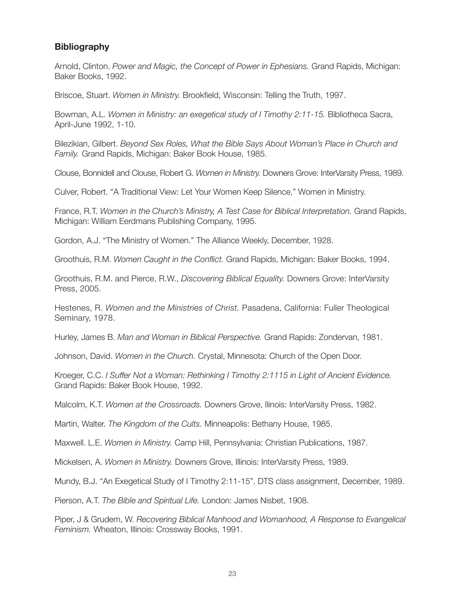## **Bibliography**

Arnold, Clinton. *Power and Magic, the Concept of Power in Ephesians.* Grand Rapids, Michigan: Baker Books, 1992.

Briscoe, Stuart. *Women in Ministry.* Brookfield, Wisconsin: Telling the Truth, 1997.

Bowman, A.L. *Women in Ministry: an exegetical study of I Timothy 2:11-15.* Bibliotheca Sacra, April-June 1992, 1-10.

Bilezikian, Gilbert. *Beyond Sex Roles, What the Bible Says About Woman's Place in Church and Family.* Grand Rapids, Michigan: Baker Book House, 1985.

Clouse, Bonnidell and Clouse, Robert G. *Women in Ministry.* Downers Grove: InterVarsity Press, 1989.

Culver, Robert. "A Traditional View: Let Your Women Keep Silence," Women in Ministry.

France, R.T. *Women in the Church's Ministry, A Test Case for Biblical Interpretation.* Grand Rapids, Michigan: William Eerdmans Publishing Company, 1995.

Gordon, A.J. "The Ministry of Women." The Alliance Weekly, December, 1928.

Groothuis, R.M. *Women Caught in the Conflict.* Grand Rapids, Michigan: Baker Books, 1994.

Groothuis, R.M. and Pierce, R.W., *Discovering Biblical Equality.* Downers Grove: InterVarsity Press, 2005.

Hestenes, R. *Women and the Ministries of Christ.* Pasadena, California: Fuller Theological Seminary, 1978.

Hurley, James B. *Man and Woman in Biblical Perspective.* Grand Rapids: Zondervan, 1981.

Johnson, David. *Women in the Church.* Crystal, Minnesota: Church of the Open Door.

Kroeger, C.C. *I Suffer Not a Woman: Rethinking I Timothy 2:1115 in Light of Ancient Evidence.*  Grand Rapids: Baker Book House, 1992.

Malcolm, K.T. *Women at the Crossroads.* Downers Grove, Ilinois: InterVarsity Press, 1982.

Martin, Walter. *The Kingdom of the Cults.* Minneapolis: Bethany House, 1985.

Maxwell. L.E. *Women in Ministry.* Camp Hill, Pennsylvania: Christian Publications, 1987.

Mickelsen, A. *Women in Ministry.* Downers Grove, Illinois: InterVarsity Press, 1989.

Mundy, B.J. "An Exegetical Study of I Timothy 2:11-15". DTS class assignment, December, 1989.

Pierson, A.T. *The Bible and Spiritual Life.* London: James Nisbet, 1908.

Piper, J & Grudem, W. *Recovering Biblical Manhood and Womanhood, A Response to Evangelical Feminism.* Wheaton, Illinois: Crossway Books, 1991.